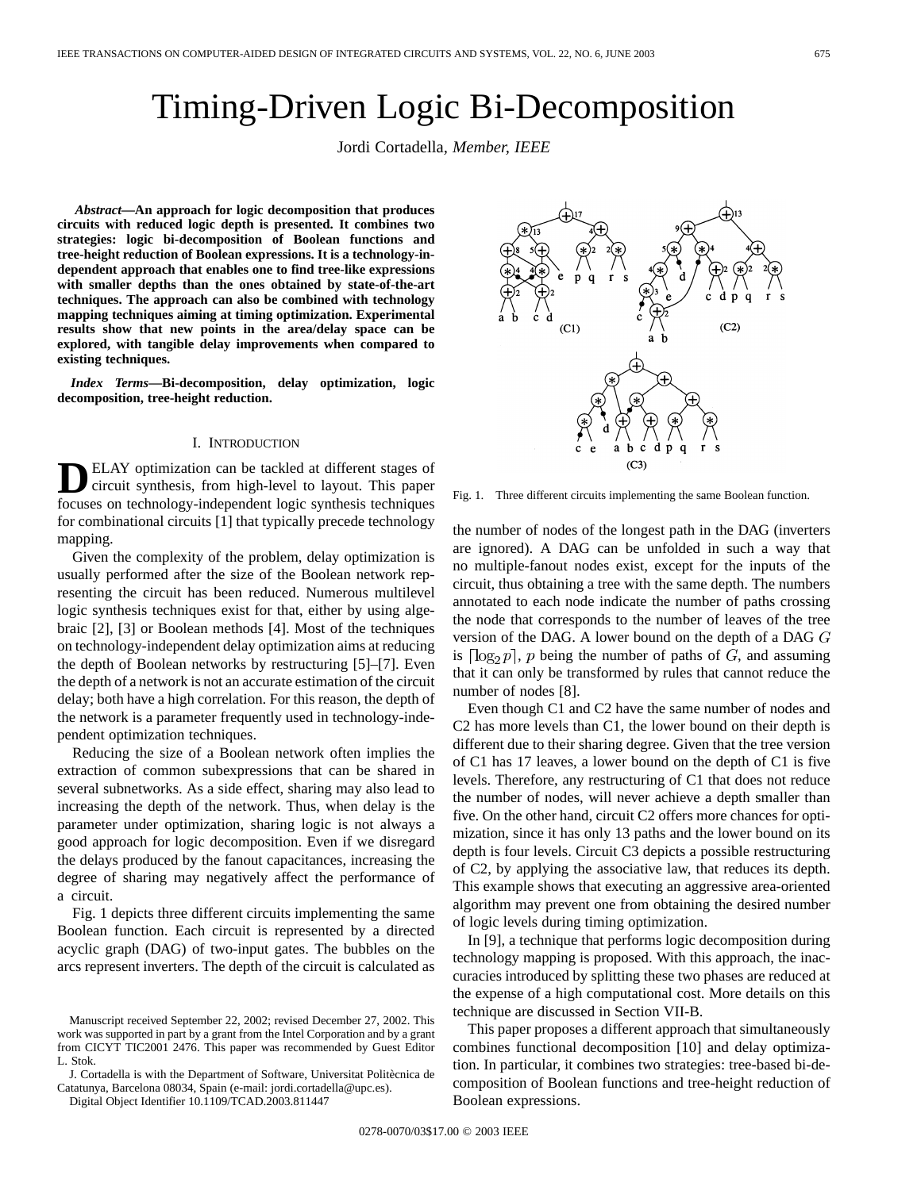# Timing-Driven Logic Bi-Decomposition

Jordi Cortadella*, Member, IEEE*

*Abstract—***An approach for logic decomposition that produces circuits with reduced logic depth is presented. It combines two strategies: logic bi-decomposition of Boolean functions and tree-height reduction of Boolean expressions. It is a technology-independent approach that enables one to find tree-like expressions with smaller depths than the ones obtained by state-of-the-art techniques. The approach can also be combined with technology mapping techniques aiming at timing optimization. Experimental results show that new points in the area/delay space can be explored, with tangible delay improvements when compared to existing techniques.**

*Index Terms—***Bi-decomposition, delay optimization, logic decomposition, tree-height reduction.**

# I. INTRODUCTION

ELAY optimization can be tackled at different stages of circuit synthesis, from high-level to layout. This paper focuses on technology-independent logic synthesis techniques for combinational circuits [1] that typically precede technology mapping.

Given the complexity of the problem, delay optimization is usually performed after the size of the Boolean network representing the circuit has been reduced. Numerous multilevel logic synthesis techniques exist for that, either by using algebraic [2], [3] or Boolean methods [4]. Most of the techniques on technology-independent delay optimization aims at reducing the depth of Boolean networks by restructuring [5]–[7]. Even the depth of a network is not an accurate estimation of the circuit delay; both have a high correlation. For this reason, the depth of the network is a parameter frequently used in technology-independent optimization techniques.

Reducing the size of a Boolean network often implies the extraction of common subexpressions that can be shared in several subnetworks. As a side effect, sharing may also lead to increasing the depth of the network. Thus, when delay is the parameter under optimization, sharing logic is not always a good approach for logic decomposition. Even if we disregard the delays produced by the fanout capacitances, increasing the degree of sharing may negatively affect the performance of a circuit.

Fig. 1 depicts three different circuits implementing the same Boolean function. Each circuit is represented by a directed acyclic graph (DAG) of two-input gates. The bubbles on the arcs represent inverters. The depth of the circuit is calculated as



Fig. 1. Three different circuits implementing the same Boolean function.

the number of nodes of the longest path in the DAG (inverters are ignored). A DAG can be unfolded in such a way that no multiple-fanout nodes exist, except for the inputs of the circuit, thus obtaining a tree with the same depth. The numbers annotated to each node indicate the number of paths crossing the node that corresponds to the number of leaves of the tree version of the DAG. A lower bound on the depth of a DAG is  $\lceil \log_2 p \rceil$ , p being the number of paths of G, and assuming that it can only be transformed by rules that cannot reduce the number of nodes [8].

Even though C1 and C2 have the same number of nodes and C2 has more levels than C1, the lower bound on their depth is different due to their sharing degree. Given that the tree version of C1 has 17 leaves, a lower bound on the depth of C1 is five levels. Therefore, any restructuring of C1 that does not reduce the number of nodes, will never achieve a depth smaller than five. On the other hand, circuit C2 offers more chances for optimization, since it has only 13 paths and the lower bound on its depth is four levels. Circuit C3 depicts a possible restructuring of C2, by applying the associative law, that reduces its depth. This example shows that executing an aggressive area-oriented algorithm may prevent one from obtaining the desired number of logic levels during timing optimization.

In [9], a technique that performs logic decomposition during technology mapping is proposed. With this approach, the inaccuracies introduced by splitting these two phases are reduced at the expense of a high computational cost. More details on this technique are discussed in Section VII-B.

This paper proposes a different approach that simultaneously combines functional decomposition [10] and delay optimization. In particular, it combines two strategies: tree-based bi-decomposition of Boolean functions and tree-height reduction of Boolean expressions.

Manuscript received September 22, 2002; revised December 27, 2002. This work was supported in part by a grant from the Intel Corporation and by a grant from CICYT TIC2001 2476. This paper was recommended by Guest Editor L. Stok.

J. Cortadella is with the Department of Software, Universitat Politècnica de Catatunya, Barcelona 08034, Spain (e-mail: jordi.cortadella@upc.es).

Digital Object Identifier 10.1109/TCAD.2003.811447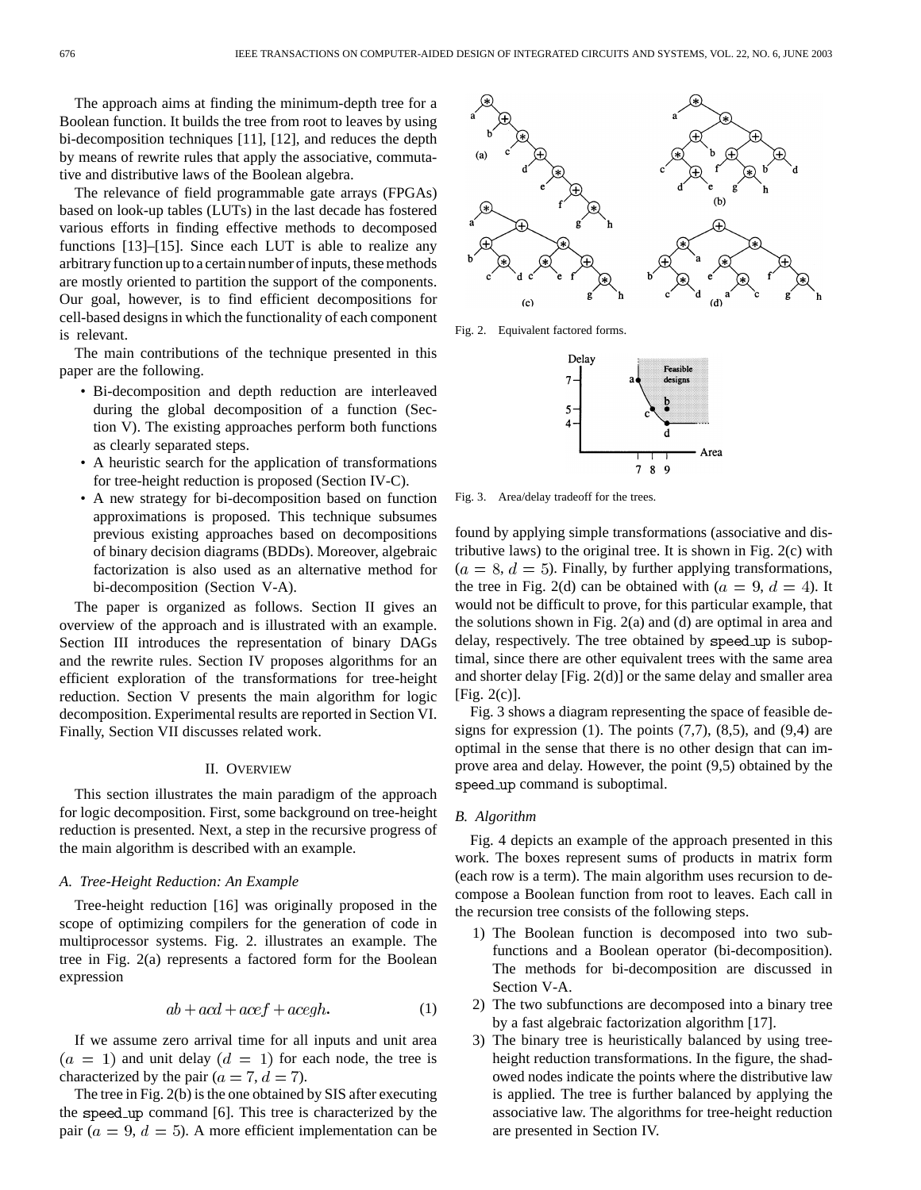The approach aims at finding the minimum-depth tree for a Boolean function. It builds the tree from root to leaves by using bi-decomposition techniques [11], [12], and reduces the depth by means of rewrite rules that apply the associative, commutative and distributive laws of the Boolean algebra.

The relevance of field programmable gate arrays (FPGAs) based on look-up tables (LUTs) in the last decade has fostered various efforts in finding effective methods to decomposed functions [13]–[15]. Since each LUT is able to realize any arbitrary function up to a certain number of inputs, these methods are mostly oriented to partition the support of the components. Our goal, however, is to find efficient decompositions for cell-based designs in which the functionality of each component is relevant.

The main contributions of the technique presented in this paper are the following.

- Bi-decomposition and depth reduction are interleaved during the global decomposition of a function (Section V). The existing approaches perform both functions as clearly separated steps.
- A heuristic search for the application of transformations for tree-height reduction is proposed (Section IV-C).
- A new strategy for bi-decomposition based on function approximations is proposed. This technique subsumes previous existing approaches based on decompositions of binary decision diagrams (BDDs). Moreover, algebraic factorization is also used as an alternative method for bi-decomposition (Section V-A).

The paper is organized as follows. Section II gives an overview of the approach and is illustrated with an example. Section III introduces the representation of binary DAGs and the rewrite rules. Section IV proposes algorithms for an efficient exploration of the transformations for tree-height reduction. Section V presents the main algorithm for logic decomposition. Experimental results are reported in Section VI. Finally, Section VII discusses related work.

# II. OVERVIEW

This section illustrates the main paradigm of the approach for logic decomposition. First, some background on tree-height reduction is presented. Next, a step in the recursive progress of the main algorithm is described with an example.

# *A. Tree-Height Reduction: An Example*

Tree-height reduction [16] was originally proposed in the scope of optimizing compilers for the generation of code in multiprocessor systems. Fig. 2. illustrates an example. The tree in Fig. 2(a) represents a factored form for the Boolean expression

$$
ab + acd + acef + acegh.
$$
 (1)

If we assume zero arrival time for all inputs and unit area  $(a = 1)$  and unit delay  $(d = 1)$  for each node, the tree is characterized by the pair ( $a = 7, d = 7$ ).

The tree in Fig. 2(b) is the one obtained by SIS after executing the speed up command [6]. This tree is characterized by the pair ( $a = 9$ ,  $d = 5$ ). A more efficient implementation can be



Fig. 2. Equivalent factored forms.



Fig. 3. Area/delay tradeoff for the trees.

found by applying simple transformations (associative and distributive laws) to the original tree. It is shown in Fig. 2(c) with  $(a = 8, d = 5)$ . Finally, by further applying transformations, the tree in Fig. 2(d) can be obtained with  $(a = 9, d = 4)$ . It would not be difficult to prove, for this particular example, that the solutions shown in Fig. 2(a) and (d) are optimal in area and delay, respectively. The tree obtained by speed up is suboptimal, since there are other equivalent trees with the same area and shorter delay [Fig. 2(d)] or the same delay and smaller area [Fig. 2(c)].

Fig. 3 shows a diagram representing the space of feasible designs for expression  $(1)$ . The points  $(7,7)$ ,  $(8,5)$ , and  $(9,4)$  are optimal in the sense that there is no other design that can improve area and delay. However, the point (9,5) obtained by the speed\_up command is suboptimal.

# *B. Algorithm*

Fig. 4 depicts an example of the approach presented in this work. The boxes represent sums of products in matrix form (each row is a term). The main algorithm uses recursion to decompose a Boolean function from root to leaves. Each call in the recursion tree consists of the following steps.

- 1) The Boolean function is decomposed into two subfunctions and a Boolean operator (bi-decomposition). The methods for bi-decomposition are discussed in Section V-A.
- 2) The two subfunctions are decomposed into a binary tree by a fast algebraic factorization algorithm [17].
- 3) The binary tree is heuristically balanced by using treeheight reduction transformations. In the figure, the shadowed nodes indicate the points where the distributive law is applied. The tree is further balanced by applying the associative law. The algorithms for tree-height reduction are presented in Section IV.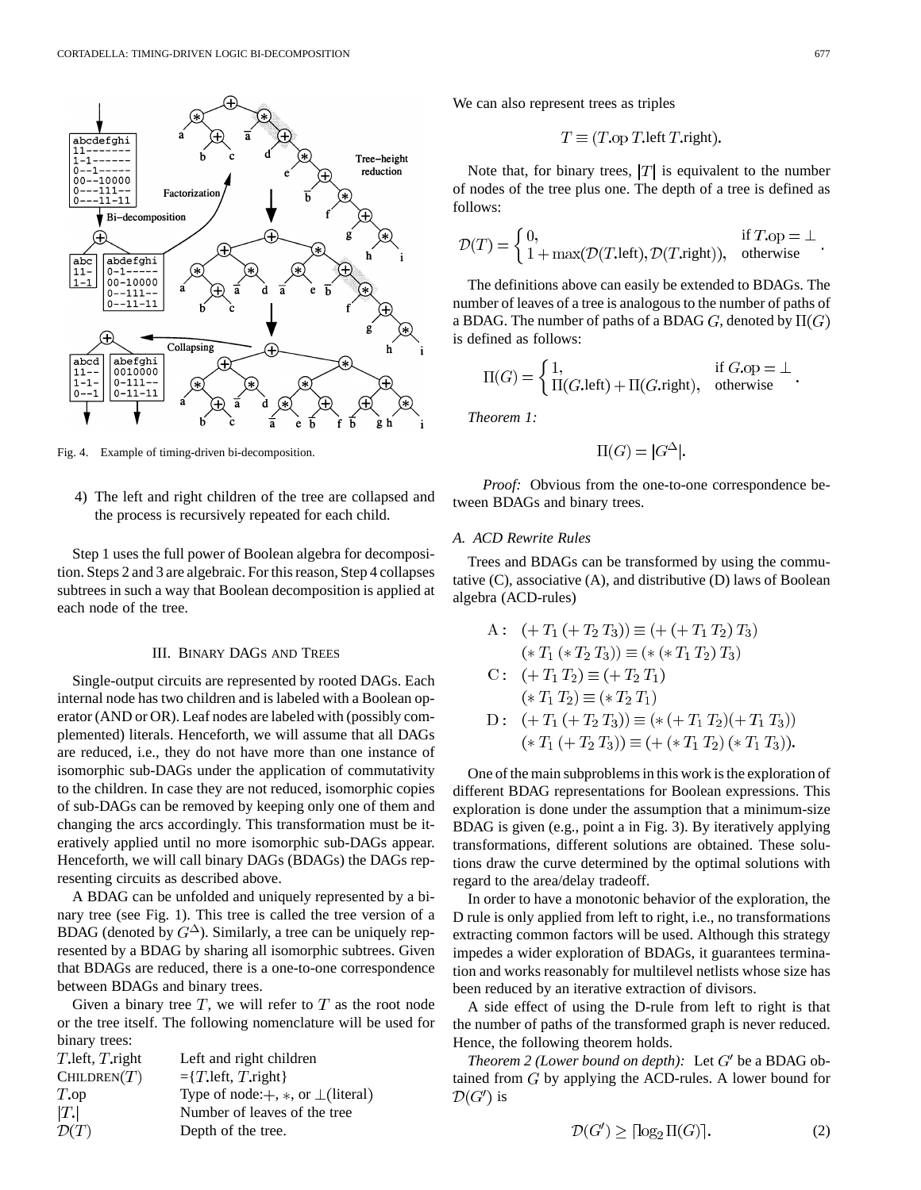

Fig. 4. Example of timing-driven bi-decomposition.

4) The left and right children of the tree are collapsed and the process is recursively repeated for each child.

Step 1 uses the full power of Boolean algebra for decomposition. Steps 2 and 3 are algebraic. For this reason, Step 4 collapses subtrees in such a way that Boolean decomposition is applied at each node of the tree.

## III. BINARY DAGS AND TREES

Single-output circuits are represented by rooted DAGs. Each internal node has two children and is labeled with a Boolean operator (AND or OR). Leaf nodes are labeled with (possibly complemented) literals. Henceforth, we will assume that all DAGs are reduced, i.e., they do not have more than one instance of isomorphic sub-DAGs under the application of commutativity to the children. In case they are not reduced, isomorphic copies of sub-DAGs can be removed by keeping only one of them and changing the arcs accordingly. This transformation must be iteratively applied until no more isomorphic sub-DAGs appear. Henceforth, we will call binary DAGs (BDAGs) the DAGs representing circuits as described above.

A BDAG can be unfolded and uniquely represented by a binary tree (see Fig. 1). This tree is called the tree version of a BDAG (denoted by  $G^{\Delta}$ ). Similarly, a tree can be uniquely represented by a BDAG by sharing all isomorphic subtrees. Given that BDAGs are reduced, there is a one-to-one correspondence between BDAGs and binary trees.

Given a binary tree  $T$ , we will refer to  $T$  as the root node or the tree itself. The following nomenclature will be used for binary trees:

| $T$ left, $T$ right | Left and right children                   |
|---------------------|-------------------------------------------|
| CHILDREN(T)         | $=\{T.\text{left}, T.\text{right}\}\$     |
| $T_{\rm o}$         | Type of node: $+, *,$ or $\bot$ (literal) |
| T.                  | Number of leaves of the tree              |
| $\mathcal{D}(T)$    | Depth of the tree.                        |

We can also represent trees as triples

$$
T \equiv (T \text{.op } T \text{.left } T \text{.right}).
$$

Note that, for binary trees,  $|T|$  is equivalent to the number of nodes of the tree plus one. The depth of a tree is defined as follows:

$$
\mathcal{D}(T) = \begin{cases} 0, & \text{if } T.\text{op} = \bot \\ 1 + \max(\mathcal{D}(T.\text{left}), \mathcal{D}(T.\text{right})), & \text{otherwise} \end{cases}
$$

The definitions above can easily be extended to BDAGs. The number of leaves of a tree is analogous to the number of paths of a BDAG. The number of paths of a BDAG G, denoted by  $\Pi(G)$ is defined as follows:

$$
\Pi(G) = \begin{cases} 1, & \text{if } G.\text{op} = \bot \\ \Pi(G.\text{left}) + \Pi(G.\text{right}), & \text{otherwise} \end{cases}
$$

*Theorem 1:*

$$
\Pi(G) = |G^{\Delta}|.
$$

*Proof:* Obvious from the one-to-one correspondence between BDAGs and binary trees.

# *A. ACD Rewrite Rules*

Trees and BDAGs can be transformed by using the commutative (C), associative (A), and distributive (D) laws of Boolean algebra (ACD-rules)

A: 
$$
(+T_1 + T_2 T_3)) \equiv (+ (+T_1 T_2) T_3)
$$
  
\n $(*T_1 (* T_2 T_3)) \equiv (* (* T_1 T_2) T_3)$   
\nC:  $(+T_1 T_2) \equiv (+ T_2 T_1)$   
\n $(*T_1 T_2) \equiv (* T_2 T_1)$   
\nD:  $(+T_1 (+ T_2 T_3)) \equiv (* (+ T_1 T_2) (+ T_1 T_3))$   
\n $(*T_1 (+ T_2 T_3)) \equiv (+ (* T_1 T_2) (* T_1 T_3))$ 

One of the main subproblems in this work is the exploration of different BDAG representations for Boolean expressions. This exploration is done under the assumption that a minimum-size BDAG is given (e.g., point a in Fig. 3). By iteratively applying transformations, different solutions are obtained. These solutions draw the curve determined by the optimal solutions with regard to the area/delay tradeoff.

In order to have a monotonic behavior of the exploration, the D rule is only applied from left to right, i.e., no transformations extracting common factors will be used. Although this strategy impedes a wider exploration of BDAGs, it guarantees termination and works reasonably for multilevel netlists whose size has been reduced by an iterative extraction of divisors.

A side effect of using the D-rule from left to right is that the number of paths of the transformed graph is never reduced. Hence, the following theorem holds.

*Theorem 2 (Lower bound on depth):* Let  $G'$  be a BDAG obtained from  $G$  by applying the ACD-rules. A lower bound for  $\mathcal{D}(G')$  is

$$
\mathcal{D}(G') \geq \lceil \log_2 \Pi(G) \rceil. \tag{2}
$$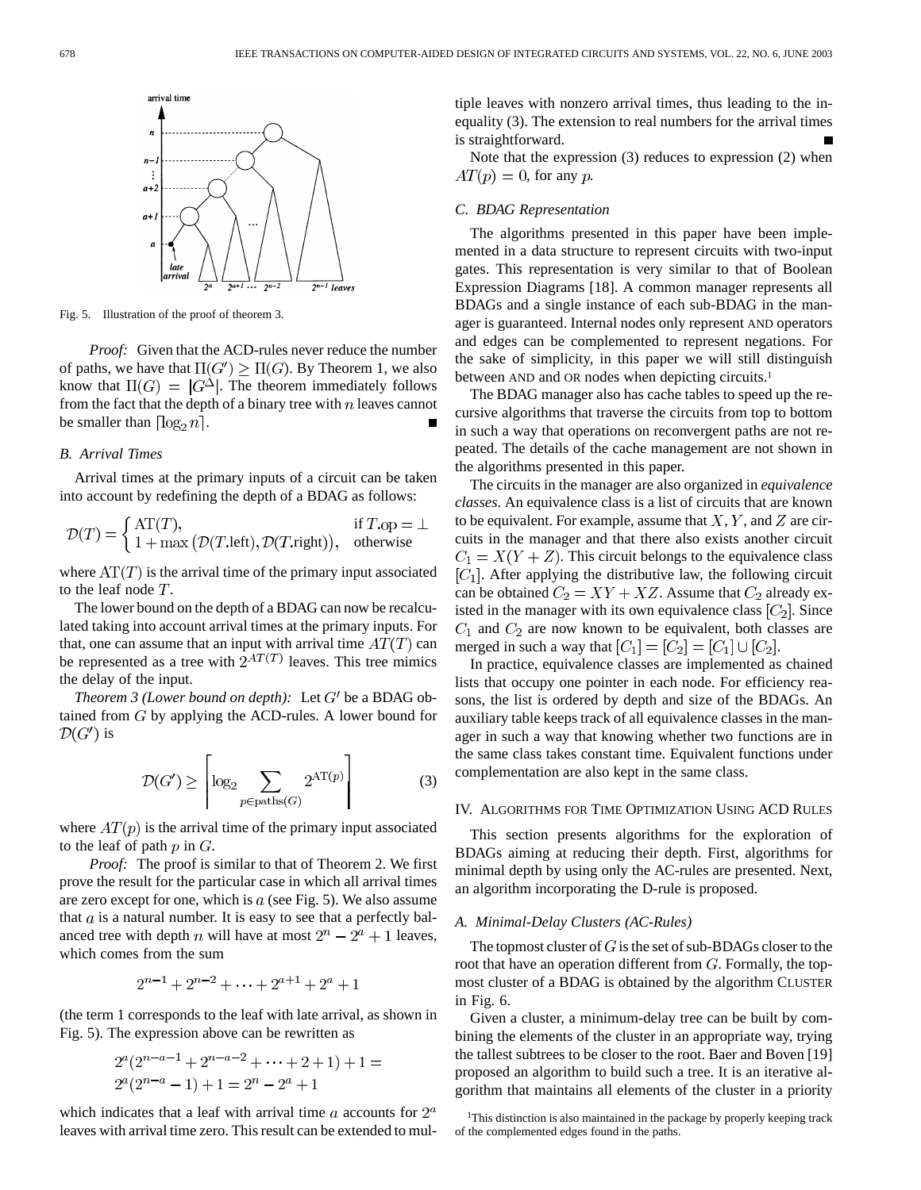

Fig. 5. Illustration of the proof of theorem 3.

*Proof:* Given that the ACD-rules never reduce the number of paths, we have that  $\Pi(G') \geq \Pi(G)$ . By Theorem 1, we also know that  $\Pi(G) = |G^{\Delta}|$ . The theorem immediately follows from the fact that the depth of a binary tree with  $n$  leaves cannot be smaller than  $\lceil \log_2 n \rceil$ .

# *B. Arrival Times*

Arrival times at the primary inputs of a circuit can be taken into account by redefining the depth of a BDAG as follows:

$$
\mathcal{D}(T) = \begin{cases} \text{AT}(T), & \text{if } T.\text{op} = \bot \\ 1 + \max\big(\mathcal{D}(T.\text{left}), \mathcal{D}(T.\text{right})\big), & \text{otherwise} \end{cases}
$$

where  $AT(T)$  is the arrival time of the primary input associated to the leaf node  $T$ .

The lower bound on the depth of a BDAG can now be recalculated taking into account arrival times at the primary inputs. For that, one can assume that an input with arrival time  $AT(T)$  can be represented as a tree with  $2^{AT(T)}$  leaves. This tree mimics the delay of the input.

*Theorem 3 (Lower bound on depth):* Let  $G'$  be a BDAG obtained from  $G$  by applying the ACD-rules. A lower bound for  $\mathcal{D}(G')$  is

$$
\mathcal{D}(G') \ge \left\lceil \log_2 \sum_{p \in \text{paths}(G)} 2^{\text{AT}(p)} \right\rceil \tag{3}
$$

where  $AT(p)$  is the arrival time of the primary input associated to the leaf of path  $p$  in  $G$ .

*Proof:* The proof is similar to that of Theorem 2. We first prove the result for the particular case in which all arrival times are zero except for one, which is  $a$  (see Fig. 5). We also assume that  $a$  is a natural number. It is easy to see that a perfectly balanced tree with depth *n* will have at most  $2^n - 2^a + 1$  leaves, which comes from the sum

$$
2^{n-1} + 2^{n-2} + \dots + 2^{a+1} + 2^a + 1
$$

(the term 1 corresponds to the leaf with late arrival, as shown in Fig. 5). The expression above can be rewritten as

$$
2^{a}(2^{n-a-1} + 2^{n-a-2} + \dots + 2 + 1) + 1 =
$$
  

$$
2^{a}(2^{n-a} - 1) + 1 = 2^{n} - 2^{a} + 1
$$

which indicates that a leaf with arrival time  $a$  accounts for  $2^a$ leaves with arrival time zero. This result can be extended to multiple leaves with nonzero arrival times, thus leading to the inequality (3). The extension to real numbers for the arrival times is straightforward.

Note that the expression (3) reduces to expression (2) when  $AT(p) = 0$ , for any p.

# *C. BDAG Representation*

The algorithms presented in this paper have been implemented in a data structure to represent circuits with two-input gates. This representation is very similar to that of Boolean Expression Diagrams [18]. A common manager represents all BDAGs and a single instance of each sub-BDAG in the manager is guaranteed. Internal nodes only represent AND operators and edges can be complemented to represent negations. For the sake of simplicity, in this paper we will still distinguish between AND and OR nodes when depicting circuits.<sup>1</sup>

The BDAG manager also has cache tables to speed up the recursive algorithms that traverse the circuits from top to bottom in such a way that operations on reconvergent paths are not repeated. The details of the cache management are not shown in the algorithms presented in this paper.

The circuits in the manager are also organized in *equivalence classes*. An equivalence class is a list of circuits that are known to be equivalent. For example, assume that  $X, Y$ , and  $Z$  are circuits in the manager and that there also exists another circuit  $C_1 = X(Y + Z)$ . This circuit belongs to the equivalence class  $[C_1]$ . After applying the distributive law, the following circuit can be obtained  $C_2 = XY + XZ$ . Assume that  $C_2$  already existed in the manager with its own equivalence class  $[C_2]$ . Since  $C_1$  and  $C_2$  are now known to be equivalent, both classes are merged in such a way that  $[C_1] = [C_2] = [C_1] \cup [C_2]$ .

In practice, equivalence classes are implemented as chained lists that occupy one pointer in each node. For efficiency reasons, the list is ordered by depth and size of the BDAGs. An auxiliary table keeps track of all equivalence classes in the manager in such a way that knowing whether two functions are in the same class takes constant time. Equivalent functions under complementation are also kept in the same class.

#### IV. ALGORITHMS FOR TIME OPTIMIZATION USING ACD RULES

This section presents algorithms for the exploration of BDAGs aiming at reducing their depth. First, algorithms for minimal depth by using only the AC-rules are presented. Next, an algorithm incorporating the D-rule is proposed.

#### *A. Minimal-Delay Clusters (AC-Rules)*

The topmost cluster of  $G$  is the set of sub-BDAGs closer to the root that have an operation different from  $G$ . Formally, the topmost cluster of a BDAG is obtained by the algorithm CLUSTER in Fig. 6.

Given a cluster, a minimum-delay tree can be built by combining the elements of the cluster in an appropriate way, trying the tallest subtrees to be closer to the root. Baer and Boven [19] proposed an algorithm to build such a tree. It is an iterative algorithm that maintains all elements of the cluster in a priority

<sup>&</sup>lt;sup>1</sup>This distinction is also maintained in the package by properly keeping track of the complemented edges found in the paths.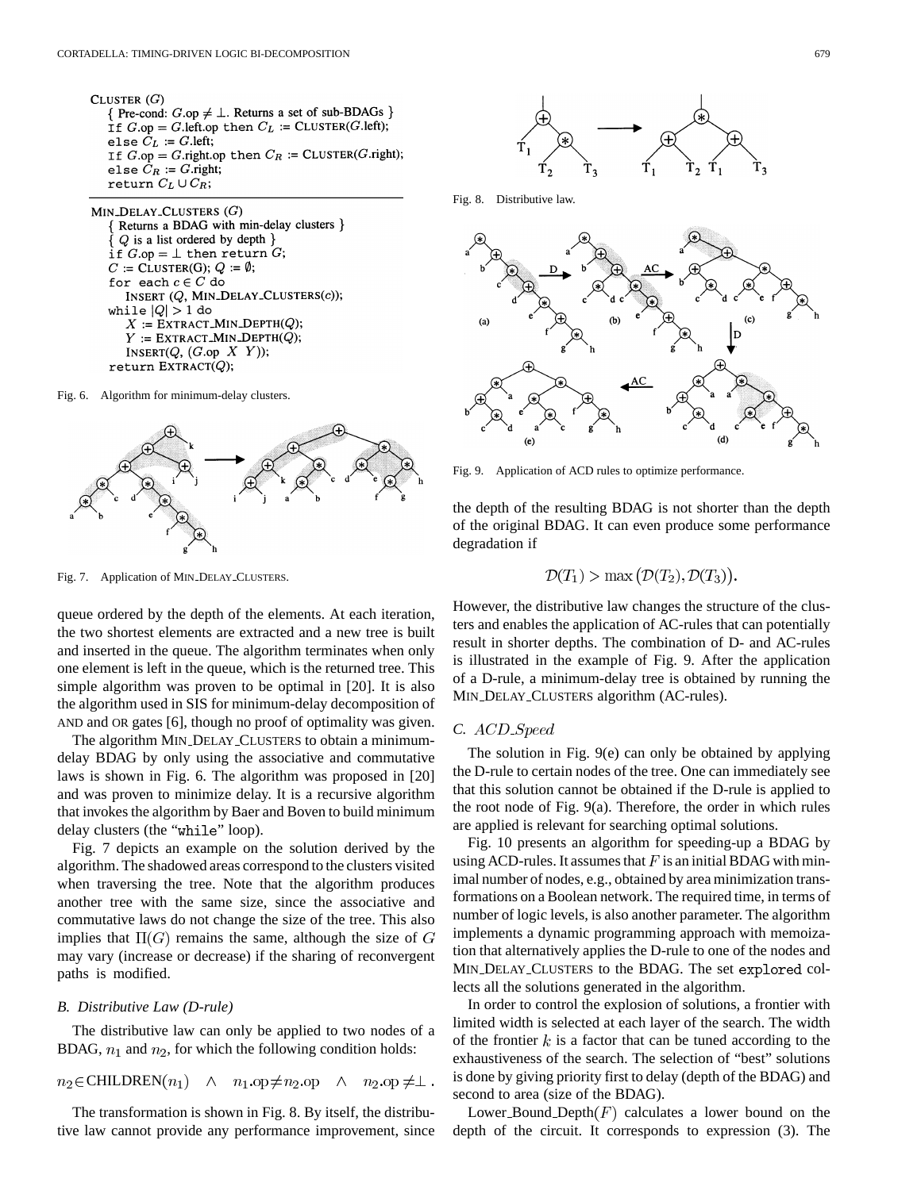CLUSTER  $(G)$ { Pre-cond:  $G.\text{op} \neq \bot$ . Returns a set of sub-BDAGs } If  $G.\text{op} = G.\text{left}.\text{op}$  then  $C_L := \text{CLUSTER}(G.\text{left});$ else  $C_L := G$ . left; If  $G.\text{op} = G.\text{right}.\text{op}$  then  $C_R := \text{CLUSTER}(G.\text{right});$ else  $C_R := G$ .right; return  $C_L \cup C_R$ ;

MIN\_DELAY\_CLUSTERS  $(G)$ Returns a BDAG with min-delay clusters }  $Q$  is a list ordered by depth  $\}$ if  $G \cdot op = \bot$  then return  $G$ ;  $C := \text{CLUSTER}(G); Q := \emptyset;$ for each  $c \in C$  do INSERT (Q, MIN\_DELAY\_CLUSTERS(c)); while  $|Q| > 1$  do  $X := \text{EXTRACT\_MIN\_DEPTH}(Q);$  $Y := \text{EXT}\text{RACT\_MIN\_DEFH}(Q);$ INSERT $(Q, (G \cdot \text{op } X Y))$ ;  $return$   $EXTRACT(Q);$ 

Fig. 6. Algorithm for minimum-delay clusters.



Fig. 7. Application of MIN DELAY CLUSTERS.

queue ordered by the depth of the elements. At each iteration, the two shortest elements are extracted and a new tree is built and inserted in the queue. The algorithm terminates when only one element is left in the queue, which is the returned tree. This simple algorithm was proven to be optimal in [20]. It is also the algorithm used in SIS for minimum-delay decomposition of AND and OR gates [6], though no proof of optimality was given.

The algorithm MIN DELAY CLUSTERS to obtain a minimumdelay BDAG by only using the associative and commutative laws is shown in Fig. 6. The algorithm was proposed in [20] and was proven to minimize delay. It is a recursive algorithm that invokes the algorithm by Baer and Boven to build minimum delay clusters (the "while" loop).

Fig. 7 depicts an example on the solution derived by the algorithm. The shadowed areas correspond to the clusters visited when traversing the tree. Note that the algorithm produces another tree with the same size, since the associative and commutative laws do not change the size of the tree. This also implies that  $\Pi(G)$  remains the same, although the size of G may vary (increase or decrease) if the sharing of reconvergent paths is modified.

# *B. Distributive Law (D-rule)*

The distributive law can only be applied to two nodes of a BDAG,  $n_1$  and  $n_2$ , for which the following condition holds:

 $n_2 \in \text{CHILDREN}(n_1) \quad \wedge \quad n_1.\text{op} \neq n_2.\text{op} \quad \wedge$  $n_2.\text{op}\neq\perp.$ 

The transformation is shown in Fig. 8. By itself, the distributive law cannot provide any performance improvement, since



Fig. 8. Distributive law.



Fig. 9. Application of ACD rules to optimize performance.

the depth of the resulting BDAG is not shorter than the depth of the original BDAG. It can even produce some performance degradation if

$$
\mathcal{D}(T_1) > \max(\mathcal{D}(T_2), \mathcal{D}(T_3)).
$$

However, the distributive law changes the structure of the clusters and enables the application of AC-rules that can potentially result in shorter depths. The combination of D- and AC-rules is illustrated in the example of Fig. 9. After the application of a D-rule, a minimum-delay tree is obtained by running the MIN DELAY CLUSTERS algorithm (AC-rules).

# *C.*

The solution in Fig. 9(e) can only be obtained by applying the D-rule to certain nodes of the tree. One can immediately see that this solution cannot be obtained if the D-rule is applied to the root node of Fig. 9(a). Therefore, the order in which rules are applied is relevant for searching optimal solutions.

Fig. 10 presents an algorithm for speeding-up a BDAG by using ACD-rules. It assumes that  $F$  is an initial BDAG with minimal number of nodes, e.g., obtained by area minimization transformations on a Boolean network. The required time, in terms of number of logic levels, is also another parameter. The algorithm implements a dynamic programming approach with memoization that alternatively applies the D-rule to one of the nodes and MIN DELAY CLUSTERS to the BDAG. The set explored collects all the solutions generated in the algorithm.

In order to control the explosion of solutions, a frontier with limited width is selected at each layer of the search. The width of the frontier  $k$  is a factor that can be tuned according to the exhaustiveness of the search. The selection of "best" solutions is done by giving priority first to delay (depth of the BDAG) and second to area (size of the BDAG).

Lower Bound Depth $(F)$  calculates a lower bound on the depth of the circuit. It corresponds to expression (3). The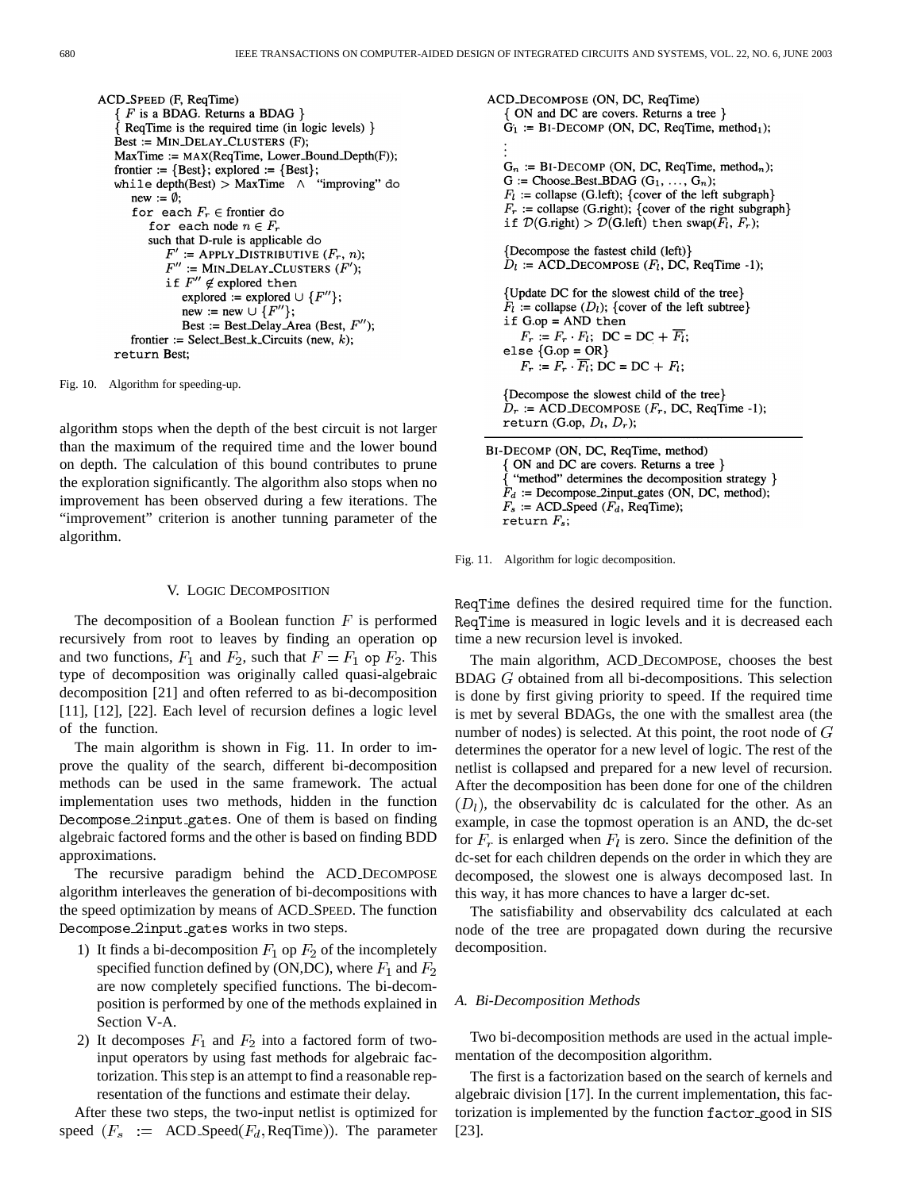ACD\_SPEED (F, ReqTime)  $F$  is a BDAG. Returns a BDAG  $\}$ ReqTime is the required time (in logic levels) } Best := MIN\_DELAY\_CLUSTERS (F); MaxTime := MAX(ReqTime, Lower\_Bound\_Depth(F)); frontier := {Best}; explored := {Best};<br>while depth(Best) > MaxTime  $\land$  "improving" do  $new := \emptyset;$ for each  $F_r \in$  frontier do for each node  $n \in F_r$ such that D-rule is applicable do  $F'$  := APPLY\_DISTRIBUTIVE  $(F_r, n)$ ;  $F''$  := MIN\_DELAY\_CLUSTERS  $(F')$ ; if  $F^{\prime\prime}\not\in$  explored then explored := explored  $\cup$  { $F''$ }; new := new  $\cup$  { $F''$ }; Best := Best\_Delay\_Area (Best,  $F''$ ); frontier := Select\_Best\_k\_Circuits (new,  $k$ ); return Best;

Fig. 10. Algorithm for speeding-up.

algorithm stops when the depth of the best circuit is not larger than the maximum of the required time and the lower bound on depth. The calculation of this bound contributes to prune the exploration significantly. The algorithm also stops when no improvement has been observed during a few iterations. The "improvement" criterion is another tunning parameter of the algorithm.

#### V. LOGIC DECOMPOSITION

The decomposition of a Boolean function  $F$  is performed recursively from root to leaves by finding an operation op and two functions,  $F_1$  and  $F_2$ , such that  $F = F_1$  op  $F_2$ . This type of decomposition was originally called quasi-algebraic decomposition [21] and often referred to as bi-decomposition [11], [12], [22]. Each level of recursion defines a logic level of the function.

The main algorithm is shown in Fig. 11. In order to improve the quality of the search, different bi-decomposition methods can be used in the same framework. The actual implementation uses two methods, hidden in the function Decompose 2input gates. One of them is based on finding algebraic factored forms and the other is based on finding BDD approximations.

The recursive paradigm behind the ACD DECOMPOSE algorithm interleaves the generation of bi-decompositions with the speed optimization by means of ACD SPEED. The function Decompose\_2input\_gates works in two steps.

- 1) It finds a bi-decomposition  $F_1$  op  $F_2$  of the incompletely specified function defined by (ON,DC), where  $F_1$  and  $F_2$ are now completely specified functions. The bi-decomposition is performed by one of the methods explained in Section V-A.
- 2) It decomposes  $F_1$  and  $F_2$  into a factored form of twoinput operators by using fast methods for algebraic factorization. This step is an attempt to find a reasonable representation of the functions and estimate their delay.

After these two steps, the two-input netlist is optimized for speed  $(F_s$  := ACD Speed  $(F_d, \text{ReqTime})$ . The parameter

ACD\_DECOMPOSE (ON, DC, ReqTime) ON and DC are covers. Returns a tree }  $\hat{G}_1$  := BI-DECOMP (ON, DC, ReqTime, method<sub>1</sub>);  $G_n$  := BI-DECOMP (ON, DC, ReqTime, method<sub>n</sub>);  $G := Choose\_Best\_BDAG(G_1, ..., G_n);$  $F_l$  := collapse (G.left); {cover of the left subgraph}  $F_r$  := collapse (G.right); {cover of the right subgraph} if  $\mathcal{D}(G.\text{right}) > \mathcal{D}(G.\text{left})$  then swap $(F_l, F_r)$ ; {Decompose the fastest child (left)}  $D_l$  := ACD\_DECOMPOSE ( $F_l$ , DC, ReqTime -1); {Update DC for the slowest child of the tree}  $F_l$  := collapse  $(D_l)$ ; {cover of the left subtree} if  $G \cdot op = AND$  then  $F_r := F_r \cdot F_l$ ; DC = DC +  $\overline{F_l}$ ; else  $\{G \cdot op = OR\}$  $F_r := F_r \cdot \overline{F_l}$ ; DC = DC +  $F_l$ ; {Decompose the slowest child of the tree}  $D_r$  := ACD\_DECOMPOSE ( $F_r$ , DC, ReqTime -1); return (G.op,  $D_l$ ,  $D_r$ ); BI-DECOMP (ON, DC, ReqTime, method)

ON and DC are covers. Returns a tree } "method" determines the decomposition strategy }  $F_d$  := Decompose\_2input\_gates (ON, DC, method);  $F_s$  := ACD\_Speed ( $F_d$ , ReqTime); return  $F_s$ ;

Fig. 11. Algorithm for logic decomposition.

ReqTime defines the desired required time for the function. ReqTime is measured in logic levels and it is decreased each time a new recursion level is invoked.

The main algorithm, ACD DECOMPOSE, chooses the best BDAG  $G$  obtained from all bi-decompositions. This selection is done by first giving priority to speed. If the required time is met by several BDAGs, the one with the smallest area (the number of nodes) is selected. At this point, the root node of  $G$ determines the operator for a new level of logic. The rest of the netlist is collapsed and prepared for a new level of recursion. After the decomposition has been done for one of the children  $(D_1)$ , the observability dc is calculated for the other. As an example, in case the topmost operation is an AND, the dc-set for  $F_r$  is enlarged when  $F_l$  is zero. Since the definition of the dc-set for each children depends on the order in which they are decomposed, the slowest one is always decomposed last. In this way, it has more chances to have a larger dc-set.

The satisfiability and observability dcs calculated at each node of the tree are propagated down during the recursive decomposition.

#### *A. Bi-Decomposition Methods*

Two bi-decomposition methods are used in the actual implementation of the decomposition algorithm.

The first is a factorization based on the search of kernels and algebraic division [17]. In the current implementation, this factorization is implemented by the function factor good in SIS [23].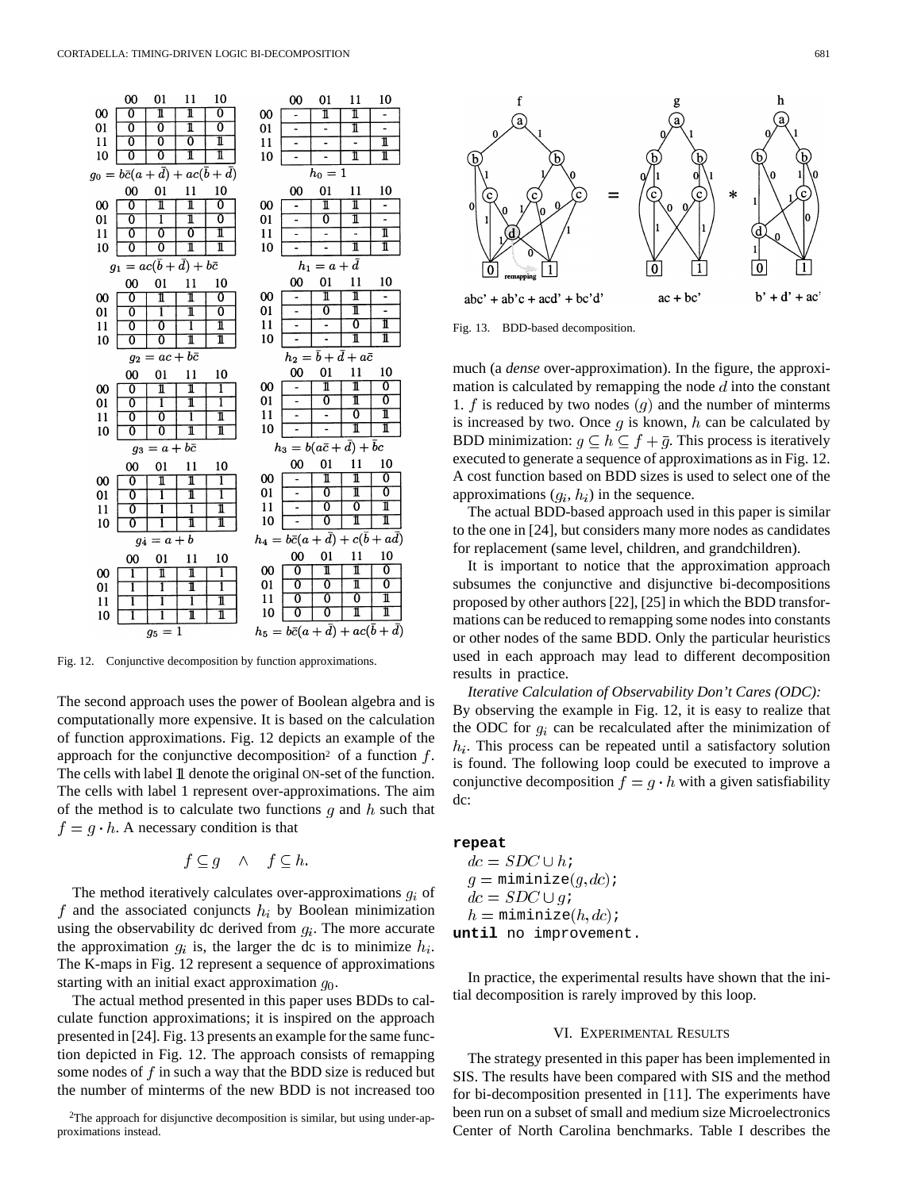

Fig. 12. Conjunctive decomposition by function approximations.

The second approach uses the power of Boolean algebra and is computationally more expensive. It is based on the calculation of function approximations. Fig. 12 depicts an example of the approach for the conjunctive decomposition<sup>2</sup> of a function  $f$ . The cells with label 1 denote the original ON-set of the function. The cells with label 1 represent over-approximations. The aim of the method is to calculate two functions  $g$  and  $h$  such that  $f = q \cdot h$ . A necessary condition is that

$$
f \subseteq g \quad \wedge \quad f \subseteq h.
$$

The method iteratively calculates over-approximations  $g_i$  of f and the associated conjuncts  $h_i$  by Boolean minimization using the observability dc derived from  $g_i$ . The more accurate the approximation  $q_i$  is, the larger the dc is to minimize  $h_i$ . The K-maps in Fig. 12 represent a sequence of approximations starting with an initial exact approximation  $q_0$ .

The actual method presented in this paper uses BDDs to calculate function approximations; it is inspired on the approach presented in [24]. Fig. 13 presents an example for the same function depicted in Fig. 12. The approach consists of remapping some nodes of  $f$  in such a way that the BDD size is reduced but the number of minterms of the new BDD is not increased too

2The approach for disjunctive decomposition is similar, but using under-approximations instead.



Fig. 13. BDD-based decomposition.

much (a *dense* over-approximation). In the figure, the approximation is calculated by remapping the node  $d$  into the constant 1.  $f$  is reduced by two nodes  $(g)$  and the number of minterms is increased by two. Once  $q$  is known,  $h$  can be calculated by BDD minimization:  $g \subseteq h \subseteq f + \overline{g}$ . This process is iteratively executed to generate a sequence of approximations as in Fig. 12. A cost function based on BDD sizes is used to select one of the approximations  $(q_i, h_i)$  in the sequence.

The actual BDD-based approach used in this paper is similar to the one in [24], but considers many more nodes as candidates for replacement (same level, children, and grandchildren).

It is important to notice that the approximation approach subsumes the conjunctive and disjunctive bi-decompositions proposed by other authors [22], [25] in which the BDD transformations can be reduced to remapping some nodes into constants or other nodes of the same BDD. Only the particular heuristics used in each approach may lead to different decomposition results in practice.

*Iterative Calculation of Observability Don't Cares (ODC):* By observing the example in Fig. 12, it is easy to realize that the ODC for  $g_i$  can be recalculated after the minimization of  $h_i$ . This process can be repeated until a satisfactory solution is found. The following loop could be executed to improve a conjunctive decomposition  $f = g \cdot h$  with a given satisfiability dc:

# **repeat**

 $dc = SDC \cup h$  $q =$  miminize $(q, dc)$ ;  $dc = SDC \cup qi$  $h =$  miminize $(h, dc)$ ; **until** no improvement.

In practice, the experimental results have shown that the initial decomposition is rarely improved by this loop.

# VI. EXPERIMENTAL RESULTS

The strategy presented in this paper has been implemented in SIS. The results have been compared with SIS and the method for bi-decomposition presented in [11]. The experiments have been run on a subset of small and medium size Microelectronics Center of North Carolina benchmarks. Table I describes the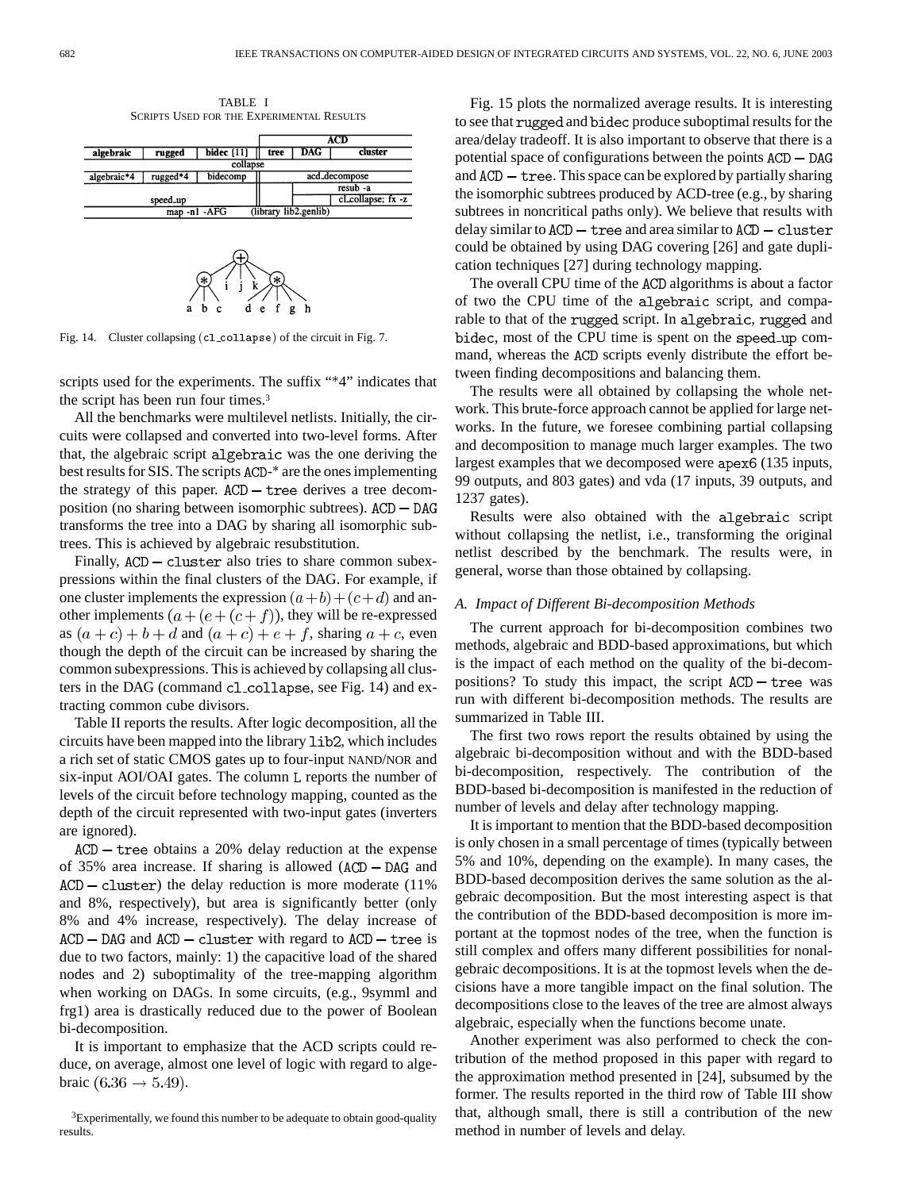TABLE I SCRIPTS USED FOR THE EXPERIMENTAL RESULTS



Fig. 14. Cluster collapsing (cl collapse) of the circuit in Fig. 7.

scripts used for the experiments. The suffix "\*4" indicates that the script has been run four times.3

All the benchmarks were multilevel netlists. Initially, the circuits were collapsed and converted into two-level forms. After that, the algebraic script algebraic was the one deriving the best results for SIS. The scripts ACD-\* are the ones implementing the strategy of this paper.  $ACD$  – tree derives a tree decomposition (no sharing between isomorphic subtrees). transforms the tree into a DAG by sharing all isomorphic subtrees. This is achieved by algebraic resubstitution.

Finally,  $ACD - Cluster$  also tries to share common subexpressions within the final clusters of the DAG. For example, if one cluster implements the expression  $(a+b)+(c+d)$  and another implements  $(a + (e + (c + f))$ , they will be re-expressed as  $(a + c) + b + d$  and  $(a + c) + e + f$ , sharing  $a + c$ , even though the depth of the circuit can be increased by sharing the common subexpressions. This is achieved by collapsing all clusters in the DAG (command  $c1$  collapse, see Fig. 14) and extracting common cube divisors.

Table II reports the results. After logic decomposition, all the circuits have been mapped into the library 1ib2, which includes a rich set of static CMOS gates up to four-input NAND/NOR and six-input AOI/OAI gates. The column L reports the number of levels of the circuit before technology mapping, counted as the depth of the circuit represented with two-input gates (inverters are ignored).

 $ACD$  – tree obtains a 20% delay reduction at the expense of 35% area increase. If sharing is allowed  $(ACD - DAG$  and  $ACD - cluster$ ) the delay reduction is more moderate (11%) and 8%, respectively), but area is significantly better (only 8% and 4% increase, respectively). The delay increase of  $ACD - DAG$  and  $ACD - cluster$  with regard to  $ACD - tree$  is due to two factors, mainly: 1) the capacitive load of the shared nodes and 2) suboptimality of the tree-mapping algorithm when working on DAGs. In some circuits, (e.g., 9symml and frg1) area is drastically reduced due to the power of Boolean bi-decomposition.

It is important to emphasize that the ACD scripts could reduce, on average, almost one level of logic with regard to algebraic  $(6.36 \rightarrow 5.49)$ .

Fig. 15 plots the normalized average results. It is interesting to see that rugged and bidec produce suboptimal results for the area/delay tradeoff. It is also important to observe that there is a potential space of configurations between the points and  $ACD$  – tree. This space can be explored by partially sharing the isomorphic subtrees produced by ACD-tree (e.g., by sharing subtrees in noncritical paths only). We believe that results with delay similar to  $ACD$  - tree and area similar to  $ACD$  - cluster could be obtained by using DAG covering [26] and gate duplication techniques [27] during technology mapping.

The overall CPU time of the ACD algorithms is about a factor of two the CPU time of the algebraic script, and comparable to that of the rugged script. In algebraic, rugged and bidec, most of the CPU time is spent on the speed up command, whereas the ACD scripts evenly distribute the effort between finding decompositions and balancing them.

The results were all obtained by collapsing the whole network. This brute-force approach cannot be applied for large networks. In the future, we foresee combining partial collapsing and decomposition to manage much larger examples. The two largest examples that we decomposed were apex6 (135 inputs, 99 outputs, and 803 gates) and vda (17 inputs, 39 outputs, and 1237 gates).

Results were also obtained with the algebraic script without collapsing the netlist, i.e., transforming the original netlist described by the benchmark. The results were, in general, worse than those obtained by collapsing.

#### *A. Impact of Different Bi-decomposition Methods*

The current approach for bi-decomposition combines two methods, algebraic and BDD-based approximations, but which is the impact of each method on the quality of the bi-decompositions? To study this impact, the script  $ACD$  – tree was run with different bi-decomposition methods. The results are summarized in Table III.

The first two rows report the results obtained by using the algebraic bi-decomposition without and with the BDD-based bi-decomposition, respectively. The contribution of the BDD-based bi-decomposition is manifested in the reduction of number of levels and delay after technology mapping.

It is important to mention that the BDD-based decomposition is only chosen in a small percentage of times (typically between 5% and 10%, depending on the example). In many cases, the BDD-based decomposition derives the same solution as the algebraic decomposition. But the most interesting aspect is that the contribution of the BDD-based decomposition is more important at the topmost nodes of the tree, when the function is still complex and offers many different possibilities for nonalgebraic decompositions. It is at the topmost levels when the decisions have a more tangible impact on the final solution. The decompositions close to the leaves of the tree are almost always algebraic, especially when the functions become unate.

Another experiment was also performed to check the contribution of the method proposed in this paper with regard to the approximation method presented in [24], subsumed by the former. The results reported in the third row of Table III show that, although small, there is still a contribution of the new method in number of levels and delay.

<sup>&</sup>lt;sup>3</sup>Experimentally, we found this number to be adequate to obtain good-quality results.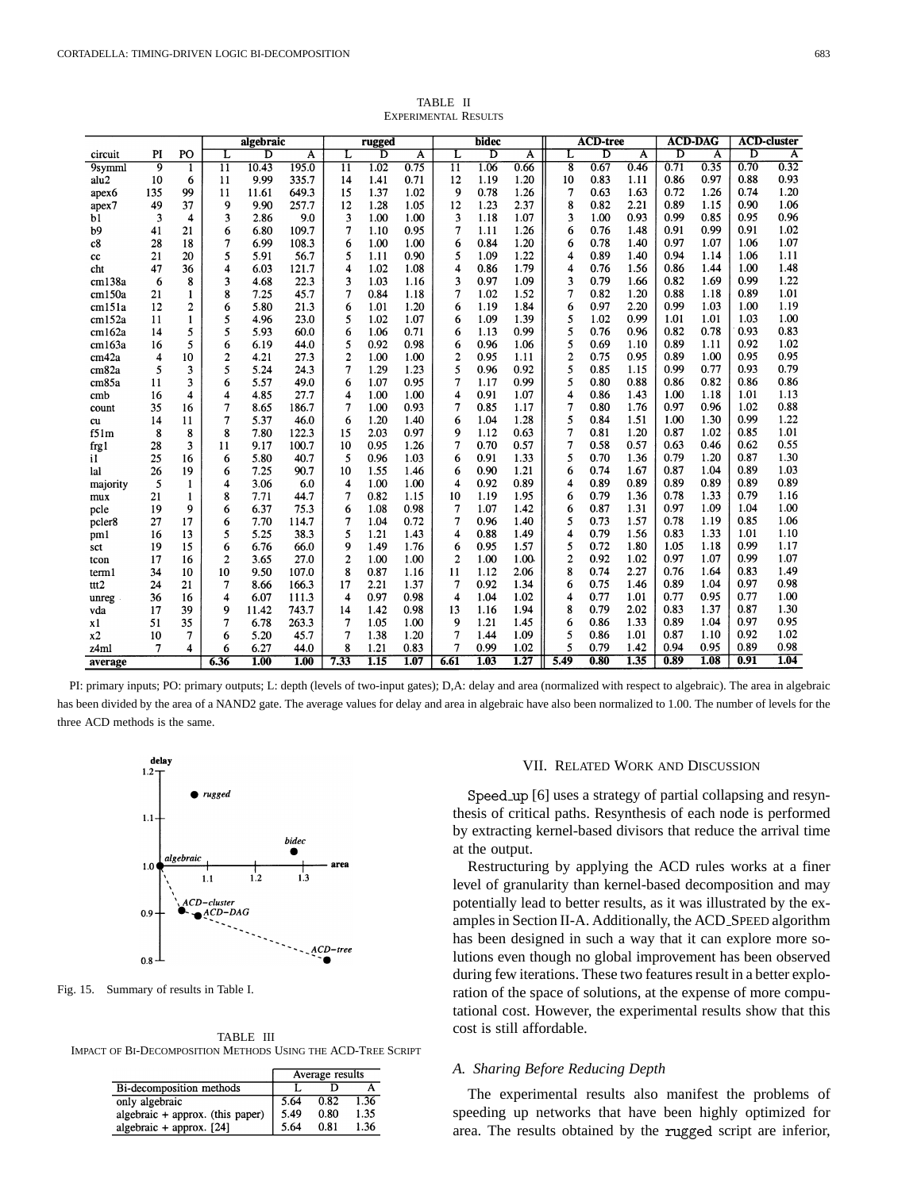|                   |     |              |                 | algebraic |                         |                 | rugged |      |                 | bidec |      |                         | <b>ACD-tree</b> |      |      | <b>ACD-DAG</b> |      | <b>ACD-cluster</b> |
|-------------------|-----|--------------|-----------------|-----------|-------------------------|-----------------|--------|------|-----------------|-------|------|-------------------------|-----------------|------|------|----------------|------|--------------------|
| circuit           | PI  | PO           | L               | D         | $\overline{\mathbf{A}}$ | L               | D      | A    | L               | D     | A    | L                       | ъ               | A    | ъ    | A              | D    | $\overline{A}$     |
| 9symml            | 9   | 1            | $\overline{11}$ | 10.43     | 195.0                   | $\overline{11}$ | 1.02   | 0.75 | $\overline{11}$ | 1.06  | 0.66 | $\overline{\mathbf{8}}$ | 0.67            | 0.46 | 0.71 | 0.35           | 0.70 | 0.32               |
| alu2              | 10  | 6            | 11              | 9.99      | 335.7                   | 14              | 1.41   | 0.71 | 12              | 1.19  | 1.20 | 10                      | 0.83            | 1.11 | 0.86 | 0.97           | 0.88 | 0.93               |
| apex <sub>6</sub> | 135 | 99           | 11              | 11.61     | 649.3                   | 15              | 1.37   | 1.02 | 9               | 0.78  | 1.26 | 7                       | 0.63            | 1.63 | 0.72 | 1.26           | 0.74 | 1.20               |
| apex7             | 49  | 37           | 9               | 9.90      | 257.7                   | 12              | 1.28   | 1.05 | 12              | 1.23  | 2.37 | 8                       | 0.82            | 2.21 | 0.89 | 1.15           | 0.90 | 1.06               |
| b1                | 3   | 4            | 3               | 2.86      | 9.0                     | 3               | 1.00   | 1.00 | 3               | 1.18  | 1.07 | 3                       | 1.00            | 0.93 | 0.99 | 0.85           | 0.95 | 0.96               |
| b9                | 41  | 21           | 6               | 6.80      | 109.7                   | 7               | 1.10   | 0.95 | 7               | 1.11  | 1.26 | 6                       | 0.76            | 1.48 | 0.91 | 0.99           | 0.91 | 1.02               |
| c8                | 28  | 18           | 7               | 6.99      | 108.3                   | 6               | 1.00   | 1.00 | 6               | 0.84  | 1.20 | 6                       | 0.78            | 1.40 | 0.97 | 1.07           | 1.06 | 1.07               |
| cc                | 21  | 20           | 5               | 5.91      | 56.7                    | 5               | 1.11   | 0.90 | 5               | 1.09  | 1.22 | 4                       | 0.89            | 1.40 | 0.94 | 1.14           | 1.06 | 1.11               |
| cht               | 47  | 36           | 4               | 6.03      | 121.7                   | 4               | 1.02   | 1.08 | 4               | 0.86  | 1.79 | 4                       | 0.76            | 1.56 | 0.86 | 1.44           | 1.00 | 1.48               |
| cm138a            | 6   | 8            | 3               | 4.68      | 22.3                    | 3               | 1.03   | 1.16 | 3               | 0.97  | 1.09 | 3                       | 0.79            | 1.66 | 0.82 | 1.69           | 0.99 | 1.22               |
| cm150a            | 21  | 1            | 8               | 7.25      | 45.7                    | 7               | 0.84   | 1.18 | 7               | 1.02  | 1.52 | 7                       | 0.82            | 1.20 | 0.88 | 1.18           | 0.89 | 1.01               |
| cm151a            | 12  | 2            | 6               | 5.80      | 21.3                    | 6               | 1.01   | 1.20 | 6               | 1.19  | 1.84 | 6                       | 0.97            | 2.20 | 0.99 | 1.03           | 1.00 | 1.19               |
| cm152a            | 11  | $\mathbf{1}$ | 5               | 4.96      | 23.0                    | 5               | 1.02   | 1.07 | 6               | 1.09  | 1.39 | 5                       | 1.02            | 0.99 | 1.01 | 1.01           | 1.03 | 1.00               |
| cm162a            | 14  | 5            | 5               | 5.93      | 60.0                    | 6               | 1.06   | 0.71 | 6               | 1.13  | 0.99 | 5                       | 0.76            | 0.96 | 0.82 | 0.78           | 0.93 | 0.83               |
| cm163a            | 16  | 5            | 6               | 6.19      | 44.0                    | 5               | 0.92   | 0.98 | 6               | 0.96  | 1.06 | 5                       | 0.69            | 1.10 | 0.89 | 1.11           | 0.92 | 1.02               |
| cm42a             | 4   | 10           | $\overline{c}$  | 4.21      | 27.3                    | $\overline{2}$  | 1.00   | 1.00 | $\overline{c}$  | 0.95  | 1.11 | $\overline{2}$          | 0.75            | 0.95 | 0.89 | 1.00           | 0.95 | 0.95               |
| cm82a             | 5   | 3            | 5               | 5.24      | 24.3                    | 7               | 1.29   | 1.23 | 5               | 0.96  | 0.92 | 5                       | 0.85            | 1.15 | 0.99 | 0.77           | 0.93 | 0.79               |
| cm85a             | 11  | 3            | 6               | 5.57      | 49.0                    | 6               | 1.07   | 0.95 | 7               | 1.17  | 0.99 | 5                       | 0.80            | 0.88 | 0.86 | 0.82           | 0.86 | 0.86               |
| cmb               | 16  | 4            | 4               | 4.85      | 27.7                    | 4               | 1.00   | 1.00 | 4               | 0.91  | 1.07 | 4                       | 0.86            | 1.43 | 1.00 | 1.18           | 1.01 | 1.13               |
| count             | 35  | 16           | 7               | 8.65      | 186.7                   | 7               | 1.00   | 0.93 | 7               | 0.85  | 1.17 | 7                       | 0.80            | 1.76 | 0.97 | 0.96           | 1.02 | 0.88               |
| cu                | 14  | 11           | 7               | 5.37      | 46.0                    | 6               | 1.20   | 1.40 | 6               | 1.04  | 1.28 | 5                       | 0.84            | 1.51 | 1.00 | 1.30           | 0.99 | 1.22               |
| f51m              | 8   | 8            | 8               | 7.80      | 122.3                   | 15              | 2.03   | 0.97 | 9               | 1.12  | 0.63 | 7                       | 0.81            | 1.20 | 0.87 | 1.02           | 0.85 | 1.01               |
| frg1              | 28  | 3            | 11              | 9.17      | 100.7                   | 10              | 0.95   | 1.26 | 7               | 0.70  | 0.57 | 7                       | 0.58            | 0.57 | 0.63 | 0.46           | 0.62 | 0.55               |
| i1                | 25  | 16           | 6               | 5.80      | 40.7                    | 5               | 0.96   | 1.03 | 6               | 0.91  | 1.33 | 5                       | 0.70            | 1.36 | 0.79 | 1.20           | 0.87 | 1.30               |
| lal               | 26  | 19           | 6               | 7.25      | 90.7                    | 10              | 1.55   | 1.46 | 6               | 0.90  | 1.21 | 6                       | 0.74            | 1.67 | 0.87 | 1.04           | 0.89 | 1.03               |
| majority          | 5   | 1            | 4               | 3.06      | 6.0                     | 4               | 1.00   | 1.00 | 4               | 0.92  | 0.89 | 4                       | 0.89            | 0.89 | 0.89 | 0.89           | 0.89 | 0.89               |
| mux               | 21  | 1            | 8               | 7.71      | 44.7                    | 7               | 0.82   | 1.15 | 10              | 1.19  | 1.95 | 6                       | 0.79            | 1.36 | 0.78 | 1.33           | 0.79 | 1.16               |
| pcle              | 19  | 9            | 6               | 6.37      | 75.3                    | 6               | 1.08   | 0.98 | 7               | 1.07  | 1.42 | 6                       | 0.87            | 1.31 | 0.97 | 1.09           | 1.04 | 1.00               |
| pcler8            | 27  | 17           | 6               | 7.70      | 114.7                   | 7               | 1.04   | 0.72 | 7               | 0.96  | 1.40 | 5                       | 0.73            | 1.57 | 0.78 | 1.19           | 0.85 | 1.06               |
| pm1               | 16  | 13           | 5               | 5.25      | 38.3                    | 5               | 1.21   | 1.43 | 4               | 0.88  | 1.49 | 4                       | 0.79            | 1.56 | 0.83 | 1.33           | 1.01 | 1.10               |
| sct               | 19  | 15           | 6               | 6.76      | 66.0                    | 9               | 1.49   | 1.76 | 6               | 0.95  | 1.57 | 5                       | 0.72            | 1.80 | 1.05 | 1.18           | 0.99 | 1.17               |
| tcon              | 17  | 16           | $\overline{2}$  | 3.65      | 27.0                    | $\overline{c}$  | 1.00   | 1.00 | $\overline{2}$  | 1.00  | 1.00 | $\overline{c}$          | 0.92            | 1.02 | 0.97 | 1.07           | 0.99 | 1.07               |
| term1             | 34  | 10           | 10              | 9.50      | 107.0                   | 8               | 0.87   | 1.16 | 11              | 1.12  | 2.06 | 8                       | 0.74            | 2.27 | 0.76 | 1.64           | 0.83 | 1.49               |
| ttt2              | 24  | 21           | 7               | 8.66      | 166.3                   | 17              | 2.21   | 1.37 | 7               | 0.92  | 1.34 | 6                       | 0.75            | 1.46 | 0.89 | 1.04           | 0.97 | 0.98               |
| unreg -           | 36  | 16           | 4               | 6.07      | 111.3                   | 4               | 0.97   | 0.98 | 4               | 1.04  | 1.02 | 4                       | 0.77            | 1.01 | 0.77 | 0.95           | 0.77 | 1.00               |
| vda               | 17  | 39           | 9               | 11.42     | 743.7                   | 14              | 1.42   | 0.98 | 13              | 1.16  | 1.94 | 8                       | 0.79            | 2.02 | 0.83 | 1.37           | 0.87 | 1.30               |
| x1                | 51  | 35           | 7               | 6.78      | 263.3                   | 7               | 1.05   | 1.00 | 9               | 1.21  | 1.45 | 6                       | 0.86            | 1.33 | 0.89 | 1.04           | 0.97 | 0.95               |
| x2                | 10  | 7            | 6               | 5.20      | 45.7                    | 7               | 1.38   | 1.20 | 7               | 1.44  | 1.09 | 5                       | 0.86            | 1.01 | 0.87 | 1.10           | 0.92 | 1.02               |
| z4ml              | 7   | 4            | 6               | 6.27      | 44.0                    | 8               | 1.21   | 0.83 | 7               | 0.99  | 1.02 | 5                       | 0.79            | 1.42 | 0.94 | 0.95           | 0.89 | 0.98               |
| average           |     |              | 6.36            | 1.00      | 1.00                    | 7.33            | 1.15   | 1.07 | 6.61            | 1.03  | 1.27 | 5.49                    | 0.80            | 1.35 | 0.89 | 1.08           | 0.91 | 1.04               |

TABLE II EXPERIMENTAL RESULTS

PI: primary inputs; PO: primary outputs; L: depth (levels of two-input gates); D,A: delay and area (normalized with respect to algebraic). The area in algebraic has been divided by the area of a NAND2 gate. The average values for delay and area in algebraic have also been normalized to 1.00. The number of levels for the three ACD methods is the same.



Fig. 15. Summary of results in Table I.

TABLE III IMPACT OF BI-DECOMPOSITION METHODS USING THE ACD-TREE SCRIPT

|                                  | Average results |      |      |  |
|----------------------------------|-----------------|------|------|--|
| Bi-decomposition methods         |                 |      |      |  |
| only algebraic                   | 5.64            | 0.82 | 1.36 |  |
| algebraic + approx. (this paper) | 5.49            | 0.80 | 1.35 |  |
| algebraic + approx. $[24]$       | 5.64            | 0.81 | 1.36 |  |

# VII. RELATED WORK AND DISCUSSION

Speed up [6] uses a strategy of partial collapsing and resynthesis of critical paths. Resynthesis of each node is performed by extracting kernel-based divisors that reduce the arrival time at the output.

Restructuring by applying the ACD rules works at a finer level of granularity than kernel-based decomposition and may potentially lead to better results, as it was illustrated by the examples in Section II-A. Additionally, the ACD SPEED algorithm has been designed in such a way that it can explore more solutions even though no global improvement has been observed during few iterations. These two features result in a better exploration of the space of solutions, at the expense of more computational cost. However, the experimental results show that this cost is still affordable.

#### *A. Sharing Before Reducing Depth*

The experimental results also manifest the problems of speeding up networks that have been highly optimized for area. The results obtained by the rugged script are inferior,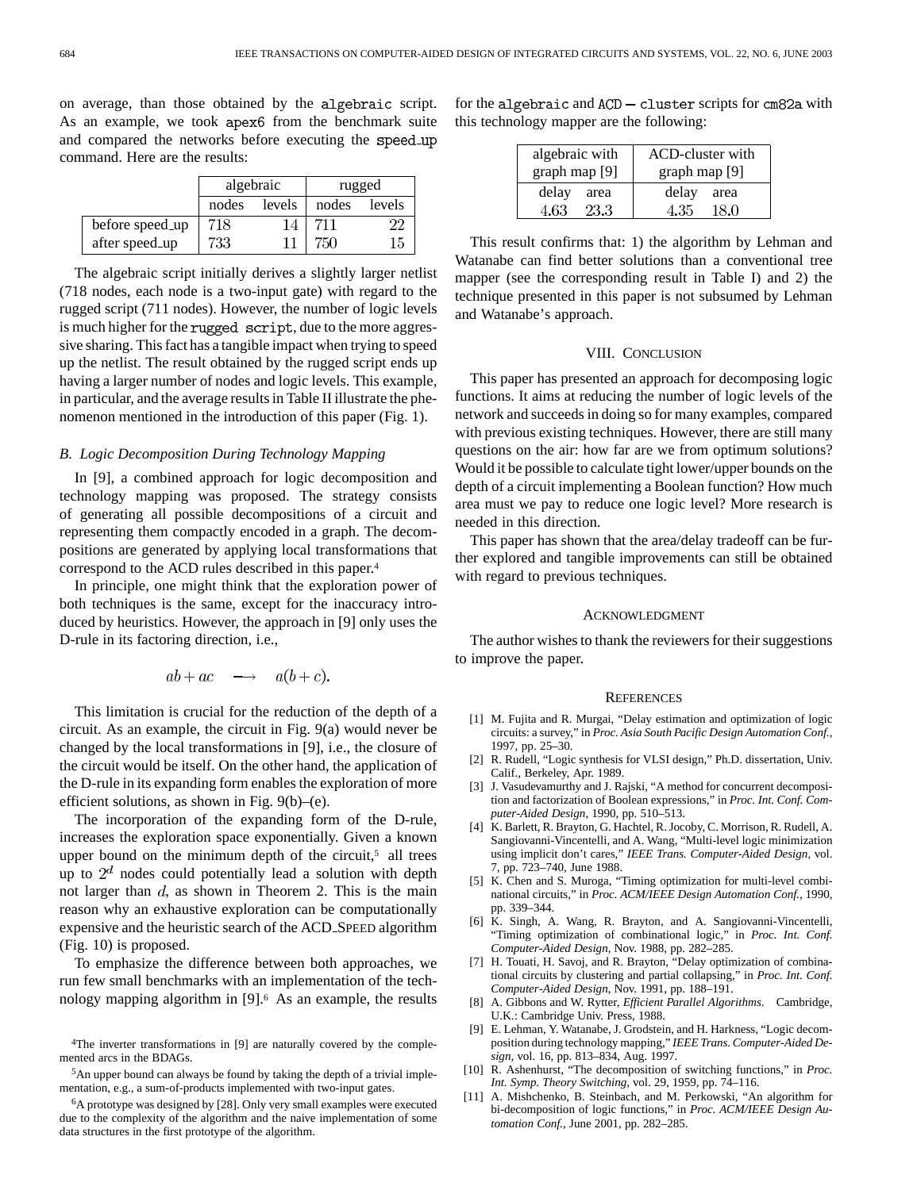on average, than those obtained by the algebraic script. As an example, we took apex6 from the benchmark suite and compared the networks before executing the speed\_up command. Here are the results:

|                 |       | algebraic | rugged |        |  |  |
|-----------------|-------|-----------|--------|--------|--|--|
|                 | nodes | levels    | nodes  | levels |  |  |
| before speed_up | 718   | 14        | 711    |        |  |  |
| after speed_up  | 733   |           | 750    | 15     |  |  |

The algebraic script initially derives a slightly larger netlist (718 nodes, each node is a two-input gate) with regard to the rugged script (711 nodes). However, the number of logic levels is much higher for the rugged script, due to the more aggressive sharing. This fact has a tangible impact when trying to speed up the netlist. The result obtained by the rugged script ends up having a larger number of nodes and logic levels. This example, in particular, and the average results in Table II illustrate the phenomenon mentioned in the introduction of this paper (Fig. 1).

## *B. Logic Decomposition During Technology Mapping*

In [9], a combined approach for logic decomposition and technology mapping was proposed. The strategy consists of generating all possible decompositions of a circuit and representing them compactly encoded in a graph. The decompositions are generated by applying local transformations that correspond to the ACD rules described in this paper.4

In principle, one might think that the exploration power of both techniques is the same, except for the inaccuracy introduced by heuristics. However, the approach in [9] only uses the D-rule in its factoring direction, i.e.,

$$
ab + ac \quad \longrightarrow \quad a(b+c).
$$

This limitation is crucial for the reduction of the depth of a circuit. As an example, the circuit in Fig. 9(a) would never be changed by the local transformations in [9], i.e., the closure of the circuit would be itself. On the other hand, the application of the D-rule in its expanding form enables the exploration of more efficient solutions, as shown in Fig. 9(b)–(e).

The incorporation of the expanding form of the D-rule, increases the exploration space exponentially. Given a known upper bound on the minimum depth of the circuit, $5$  all trees up to  $2<sup>d</sup>$  nodes could potentially lead a solution with depth not larger than  $d$ , as shown in Theorem 2. This is the main reason why an exhaustive exploration can be computationally expensive and the heuristic search of the ACD SPEED algorithm (Fig. 10) is proposed.

To emphasize the difference between both approaches, we run few small benchmarks with an implementation of the technology mapping algorithm in [9].6 As an example, the results for the algebraic and  $ACD - cluster$  scripts for cm82a with this technology mapper are the following:

| algebraic with | ACD-cluster with |  |  |  |
|----------------|------------------|--|--|--|
| graph map [9]  | graph map $[9]$  |  |  |  |
| delay          | delay            |  |  |  |
| area           | area             |  |  |  |
| 4.63           | 4.35             |  |  |  |
| 23.3           | 18.0             |  |  |  |

This result confirms that: 1) the algorithm by Lehman and Watanabe can find better solutions than a conventional tree mapper (see the corresponding result in Table I) and 2) the technique presented in this paper is not subsumed by Lehman and Watanabe's approach.

# VIII. CONCLUSION

This paper has presented an approach for decomposing logic functions. It aims at reducing the number of logic levels of the network and succeeds in doing so for many examples, compared with previous existing techniques. However, there are still many questions on the air: how far are we from optimum solutions? Would it be possible to calculate tight lower/upper bounds on the depth of a circuit implementing a Boolean function? How much area must we pay to reduce one logic level? More research is needed in this direction.

This paper has shown that the area/delay tradeoff can be further explored and tangible improvements can still be obtained with regard to previous techniques.

#### ACKNOWLEDGMENT

The author wishes to thank the reviewers for their suggestions to improve the paper.

#### **REFERENCES**

- [1] M. Fujita and R. Murgai, "Delay estimation and optimization of logic circuits: a survey," in *Proc. Asia South Pacific Design Automation Conf.*, 1997, pp. 25–30.
- [2] R. Rudell, "Logic synthesis for VLSI design," Ph.D. dissertation, Univ. Calif., Berkeley, Apr. 1989.
- [3] J. Vasudevamurthy and J. Rajski, "A method for concurrent decomposition and factorization of Boolean expressions," in *Proc. Int. Conf. Computer-Aided Design*, 1990, pp. 510–513.
- [4] K. Barlett, R. Brayton, G. Hachtel, R. Jocoby, C. Morrison, R. Rudell, A. Sangiovanni-Vincentelli, and A. Wang, "Multi-level logic minimization using implicit don't cares," *IEEE Trans. Computer-Aided Design*, vol. 7, pp. 723–740, June 1988.
- [5] K. Chen and S. Muroga, "Timing optimization for multi-level combinational circuits," in *Proc. ACM/IEEE Design Automation Conf.*, 1990, pp. 339–344.
- [6] K. Singh, A. Wang, R. Brayton, and A. Sangiovanni-Vincentelli, "Timing optimization of combinational logic," in *Proc. Int. Conf. Computer-Aided Design*, Nov. 1988, pp. 282–285.
- [7] H. Touati, H. Savoj, and R. Brayton, "Delay optimization of combinational circuits by clustering and partial collapsing," in *Proc. Int. Conf. Computer-Aided Design*, Nov. 1991, pp. 188–191.
- [8] A. Gibbons and W. Rytter, *Efficient Parallel Algorithms*. Cambridge, U.K.: Cambridge Univ. Press, 1988.
- [9] E. Lehman, Y. Watanabe, J. Grodstein, and H. Harkness, "Logic decomposition during technology mapping," *IEEE Trans. Computer-Aided Design*, vol. 16, pp. 813–834, Aug. 1997.
- [10] R. Ashenhurst, "The decomposition of switching functions," in *Proc. Int. Symp. Theory Switching*, vol. 29, 1959, pp. 74–116.
- [11] A. Mishchenko, B. Steinbach, and M. Perkowski, "An algorithm for bi-decomposition of logic functions," in *Proc. ACM/IEEE Design Automation Conf.*, June 2001, pp. 282–285.

<sup>4</sup>The inverter transformations in [9] are naturally covered by the complemented arcs in the BDAGs.

<sup>5</sup>An upper bound can always be found by taking the depth of a trivial implementation, e.g., a sum-of-products implemented with two-input gates.

<sup>6</sup>A prototype was designed by [28]. Only very small examples were executed due to the complexity of the algorithm and the naive implementation of some data structures in the first prototype of the algorithm.